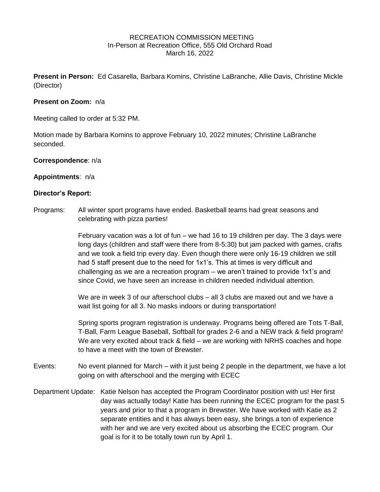## RECREATION COMMISSION MEETING In-Person at Recreation Office, 555 Old Orchard Road March 16, 2022

**Present in Person:** Ed Casarella, Barbara Komins, Christine LaBranche, Allie Davis, Christine Mickle (Director)

# **Present on Zoom:** n/a

Meeting called to order at 5:32 PM.

Motion made by Barbara Komins to approve February 10, 2022 minutes; Christine LaBranche seconded.

## **Correspondence**: n/a

## **Appointments**: n/a

## **Director's Report:**

Programs: All winter sport programs have ended. Basketball teams had great seasons and celebrating with pizza parties!

> February vacation was a lot of fun – we had 16 to 19 children per day. The 3 days were long days (children and staff were there from 8-5:30) but jam packed with games, crafts and we took a field trip every day. Even though there were only 16-19 children we still had 5 staff present due to the need for 1x1's. This at times is very difficult and challenging as we are a recreation program – we aren't trained to provide 1x1's and since Covid, we have seen an increase in children needed individual attention.

We are in week 3 of our afterschool clubs – all 3 clubs are maxed out and we have a wait list going for all 3. No masks indoors or during transportation!

Spring sports program registration is underway. Programs being offered are Tots T-Ball, T-Ball, Farm League Baseball, Softball for grades 2-6 and a NEW track & field program! We are very excited about track & field – we are working with NRHS coaches and hope to have a meet with the town of Brewster.

- Events: No event planned for March with it just being 2 people in the department, we have a lot going on with afterschool and the merging with ECEC
- Department Update: Katie Nelson has accepted the Program Coordinator position with us! Her first day was actually today! Katie has been running the ECEC program for the past 5 years and prior to that a program in Brewster. We have worked with Katie as 2 separate entities and it has always been easy, she brings a ton of experience with her and we are very excited about us absorbing the ECEC program. Our goal is for it to be totally town run by April 1.